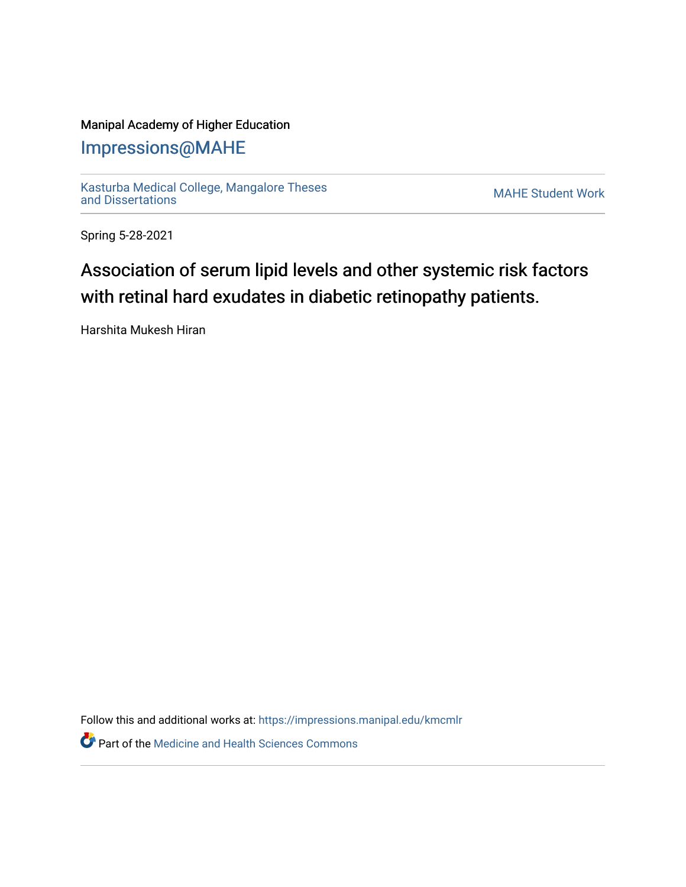### Manipal Academy of Higher Education

## [Impressions@MAHE](https://impressions.manipal.edu/)

[Kasturba Medical College, Mangalore Theses](https://impressions.manipal.edu/kmcmlr) [and Dissertations](https://impressions.manipal.edu/kmcmlr) [MAHE Student Work](https://impressions.manipal.edu/student-work) 

Spring 5-28-2021

# Association of serum lipid levels and other systemic risk factors with retinal hard exudates in diabetic retinopathy patients.

Harshita Mukesh Hiran

Follow this and additional works at: [https://impressions.manipal.edu/kmcmlr](https://impressions.manipal.edu/kmcmlr?utm_source=impressions.manipal.edu%2Fkmcmlr%2F161&utm_medium=PDF&utm_campaign=PDFCoverPages) 

**Part of the Medicine and Health Sciences Commons**